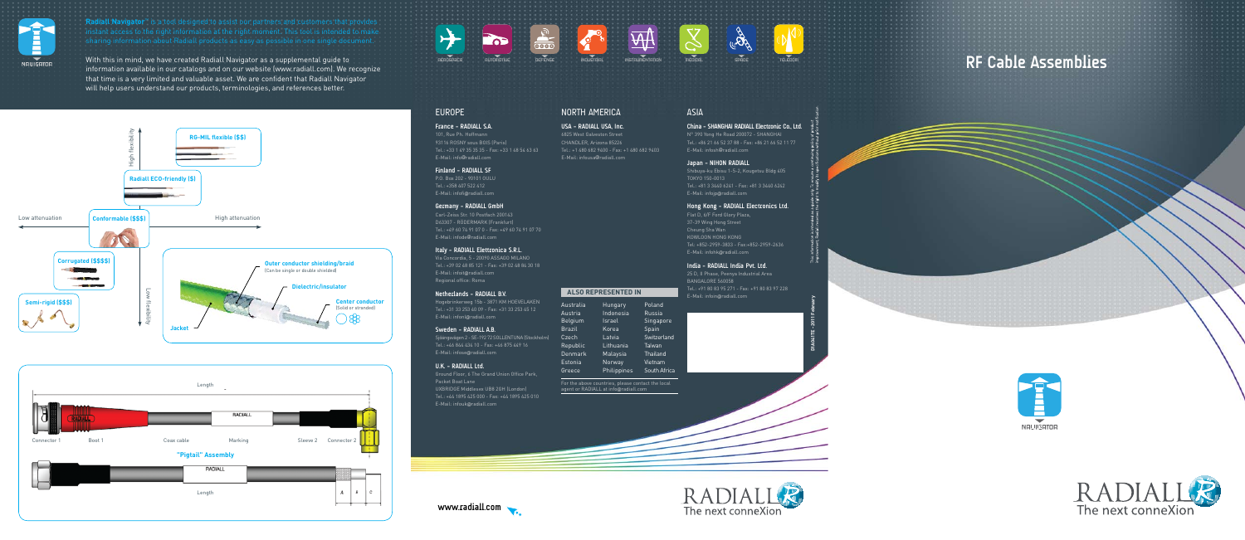

**Radiall Navigator**™ is a tool designed to assist our partners and customers that provide

## **RF Cable Assemblies**



















### EUROPE

### **France - RADIALL S.A.**

101, Rue Ph. Hoffmann 93116 ROSNY sous BOIS (Paris) Tel.: +33 1 49 35 35 35 - Fax: +33 1 48 54 63 63 E-Mail: info@radiall.com

### **Finland - RADIALL SF**

P.O. Box 202 - 90101 OULU Tel.: +358 407 522 412 E-Mail: infofi@radiall.com

### **Germany - RADIALL GmbH**

Carl-Zeiss Str. 10 Postfach 200143 D63307 - RÖDERMARK (Frankfurt) Tel.: +49 60 74 91 07 0 - Fax: +49 60 74 91 07 70 E-Mail: infode@radiall.com

### **Italy - RADIALL Elettronica S.R.L.**

Via Concordia, 5 - 20090 ASSAGO MILANO Tel.: +39 02 48 85 121 - Fax: +39 02 48 84 30 18 E-Mail: infoit@radiall.com Regional office: Roma

#### **Netherlands - RADIALL B.V.**

Hogebrinkerweg 15b - 3871 KM HOEVELAKEN Tel.: +31 33 253 40 09 - Fax: +31 33 253 45 12 E-Mail: infonl@radiall.com

### **Sweden - RADIALL A.B.**

Sjöängsvägen 2 - SE-192 72 SOLLENTUNA (Stockholm) Tel.: +46 844 434 10 - Fax: +46 875 449 16 E-Mail: infose@radiall.com

### **U.K. - RADIALL Ltd.**

Ground Floor, 6 The Grand Union Office Park, Packet Boat Lane UXBRIDGE Middlesex UB8 2GH (London) Tel.: +44 1895 425 000 - Fax: +44 1895 425 010 E-Mail: infouk@radiall.com

### North AMERICA

**USA - RADIALL USA, Inc.** 6825 West Galveston Street CHANDLER, Arizona 85226 Tel.: +1 480 682 9400 - Fax: +1 480 682 9403 E-Mail: infousa@radiall.com

### ASIA

**China - SHANGHAI RADIALL Electronic Co., Ltd.** N° 390 Yong He Road 200072 - SHANGHAI Tel.: +86 21 66 52 37 88 - Fax: +86 21 66 52 11 77 E-Mail: infosh@radiall.com

### **Japan - NIHON RADIALL**

Shibuya-ku Ebisu 1-5-2, Kougetsu Bldg 405 TOKYO 150-0013 Tel.: +81 3 3440 6241 - Fax: +81 3 3440 6242 E-Mail: infojp@radiall.com

### **Hong Kong - RADIALL Electronics Ltd.**

Flat D, 6/F Ford Glory Plaza, 37-39 Wing Hong Street Cheung Sha Wan KOWLOON HONG KONG Tel: +852-2959-3833 - Fax:+852-2959-2636 E-Mail: infohk@radiall.com

### **India - Radiall India Pvt. Ltd.**

25 D, II Phase, Peenya Industrial Area BANGALORE 560058 Tel.: +91 80 83 95 271 - Fax: +91 80 83 97 228 E-Mail: infoin@radiall.com

| <u>Australia</u> | Hunga  |
|------------------|--------|
| Austria          | Indone |
| Belgium          | Israel |
| <b>Brazil</b>    | Korea  |
| Czech            | Latvia |
| Republic         | Lithua |
| <b>Denmark</b>   | Malay  |
| Estonia          | Norwa  |
|                  |        |

Greece Norway

| Hungary     | Poland       |
|-------------|--------------|
| Indonesia   | Russia       |
| Israel      | Singapore    |
| Korea       | Spain        |
| Latvia      | Switzerland  |
| Lithuania   | Taiwan       |
| Malaysia    | Thailand     |
| Norway      | Vietnam      |
| Philippines | South Africa |

For the above countries, please contact the local agent or RADIALL at info@radiall.com



### **ALSO REPRESENTED IN**

With this in mind, we have created Radiall Navigator as a supplemental guide to information available in our catalogs and on our website (www.radiall.com). We recognize that time is a very limited and valuable asset. We are confident that Radiall Navigator will help users understand our products, terminologies, and references better.